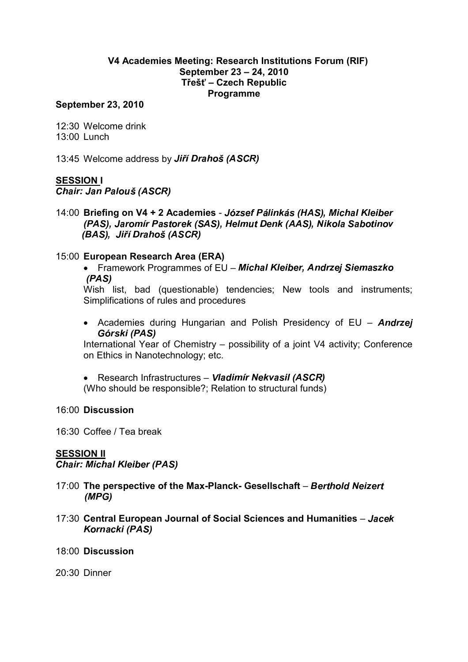## V4 Academies Meeting: Research Institutions Forum (RIF) September 23 – 24, 2010 Třešť – Czech Republic Programme

#### September 23, 2010

12:30 Welcome drink 13:00 Lunch

13:45 Welcome address by Jiří Drahoš (ASCR

### SESSION I

\_ \_ \_ \_ \_ \_ \_ \_ \_ \_ \_ \_ \_

14:00 Briefing on V4 + 2 Academies - József Pálinkás (HAS), Michal Kleibe  " <sup>s</sup> #   " #  \$  ! # % &  - 

#### 15:00 European Research Area (ERA)

• Framework Programmes of EU - Michal Kleiber, Andrzej Siemaszko --- - -

Wish list, bad (questionable) tendencies; New tools and instruments; Simplifications of rules and procedures

• Academies during Hungarian and Polish Presidency of  $EU - Andrzej$ ) <sup>s</sup> 

International Year of Chemistry – possibility of a joint V4 activity; Conference on Ethics in Nanotechnology; etc.

• Research Infrastructures - Vladimír Nekvasil (ASCR

(Who should be responsible?; Relation to structural funds)

#### 16:00 Discussion

16:30 Coffee / Tea break

### SESSION II

\_\_\_\_\_\_\_\_\_\_\_\_\_\_\_\_\_\_\_\_\_

- 17:00 The perspective of the Max-Planck- Gesellschaft Berthold Neizer (MPG)
- 17:30 Central European Journal of Social Sciences and Humanities Jacek
- 18:00 Discussion

20:30 Dinner